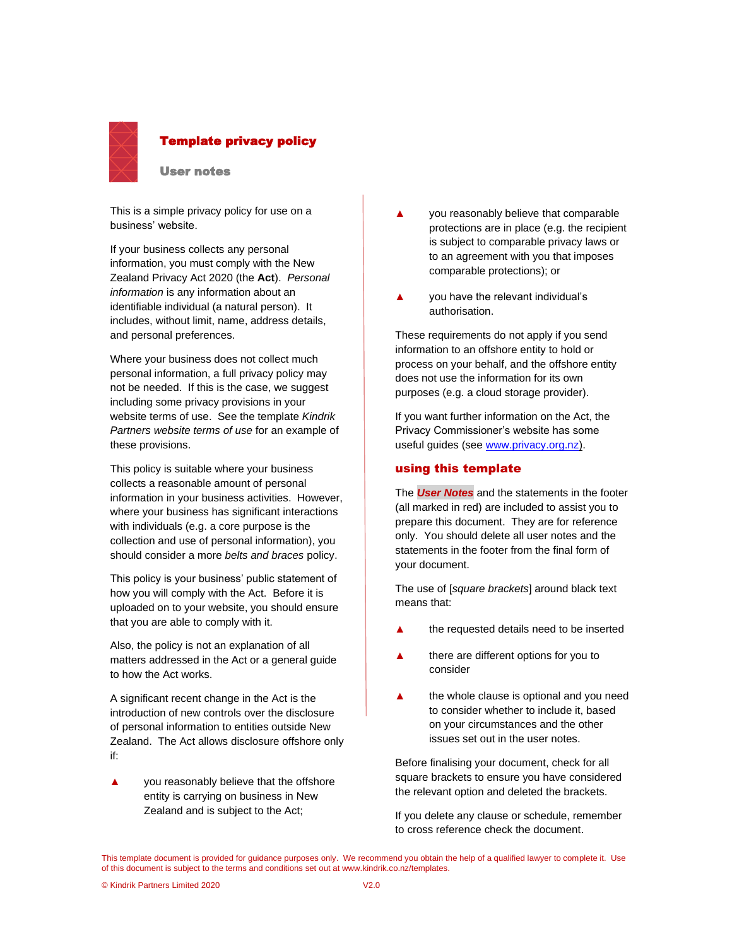

#### Template privacy policy

User notes

This is a simple privacy policy for use on a business' website.

If your business collects any personal information, you must comply with the New Zealand Privacy Act 2020 (the **Act**). *Personal information* is any information about an identifiable individual (a natural person). It includes, without limit, name, address details, and personal preferences.

Where your business does not collect much personal information, a full privacy policy may not be needed. If this is the case, we suggest including some privacy provisions in your website terms of use. See the template *Kindrik Partners website terms of use* for an example of these provisions.

This policy is suitable where your business collects a reasonable amount of personal information in your business activities. However, where your business has significant interactions with individuals (e.g. a core purpose is the collection and use of personal information), you should consider a more *belts and braces* policy.

This policy is your business' public statement of how you will comply with the Act. Before it is uploaded on to your website, you should ensure that you are able to comply with it.

Also, the policy is not an explanation of all matters addressed in the Act or a general guide to how the Act works.

A significant recent change in the Act is the introduction of new controls over the disclosure of personal information to entities outside New Zealand. The Act allows disclosure offshore only if:

you reasonably believe that the offshore entity is carrying on business in New Zealand and is subject to the Act;

- **▲** you reasonably believe that comparable protections are in place (e.g. the recipient is subject to comparable privacy laws or to an agreement with you that imposes comparable protections); or
- **▲** you have the relevant individual's authorisation.

These requirements do not apply if you send information to an offshore entity to hold or process on your behalf, and the offshore entity does not use the information for its own purposes (e.g. a cloud storage provider).

If you want further information on the Act, the Privacy Commissioner's website has some useful guides (see [www.privacy.org.nz\)](http://www.privacy.org.nz/).

#### using this template

The *User Notes* and the statements in the footer (all marked in red) are included to assist you to prepare this document. They are for reference only. You should delete all user notes and the statements in the footer from the final form of your document.

The use of [*square brackets*] around black text means that:

- **▲** the requested details need to be inserted
- **▲** there are different options for you to consider
- **▲** the whole clause is optional and you need to consider whether to include it, based on your circumstances and the other issues set out in the user notes.

Before finalising your document, check for all square brackets to ensure you have considered the relevant option and deleted the brackets.

If you delete any clause or schedule, remember to cross reference check the document.

This template document is provided for guidance purposes only. We recommend you obtain the help of a qualified lawyer to complete it. Use of this document is subject to the terms and conditions set out at www.kindrik.co.nz/templates.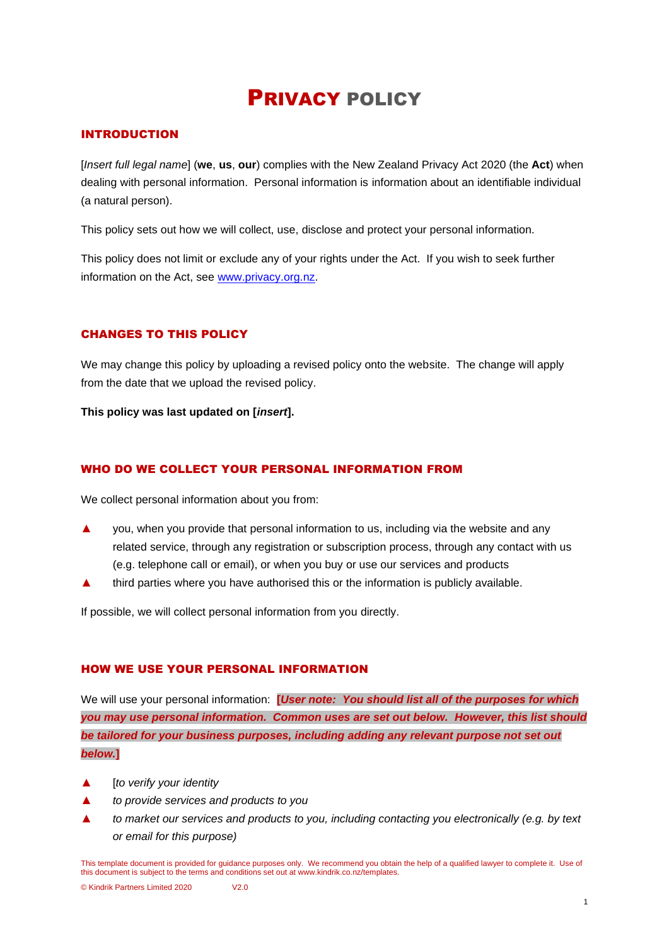# PRIVACY POLICY

# INTRODUCTION

[*Insert full legal name*] (**we**, **us**, **our**) complies with the New Zealand Privacy Act 2020 (the **Act**) when dealing with personal information. Personal information is information about an identifiable individual (a natural person).

This policy sets out how we will collect, use, disclose and protect your personal information.

This policy does not limit or exclude any of your rights under the Act. If you wish to seek further information on the Act, see [www.privacy.org.nz.](http://www.privacy.org.nz/)

## CHANGES TO THIS POLICY

We may change this policy by uploading a revised policy onto the website. The change will apply from the date that we upload the revised policy.

**This policy was last updated on [***insert***].**

## WHO DO WE COLLECT YOUR PERSONAL INFORMATION FROM

We collect personal information about you from:

- ▲ you, when you provide that personal information to us, including via the website and any related service, through any registration or subscription process, through any contact with us (e.g. telephone call or email), or when you buy or use our services and products
- third parties where you have authorised this or the information is publicly available.

If possible, we will collect personal information from you directly.

#### HOW WE USE YOUR PERSONAL INFORMATION

We will use your personal information: **[***User note: You should list all of the purposes for which you may use personal information. Common uses are set out below. However, this list should be tailored for your business purposes, including adding any relevant purpose not set out below.***]**

- ▲ [*to verify your identity*
- to provide services and products to you
- ▲ *to market our services and products to you, including contacting you electronically (e.g. by text or email for this purpose)*

This template document is provided for guidance purposes only. We recommend you obtain the help of a qualified lawyer to complete it. Use of this document is subject to the terms and conditions set out at www.kindrik.co.nz/templates.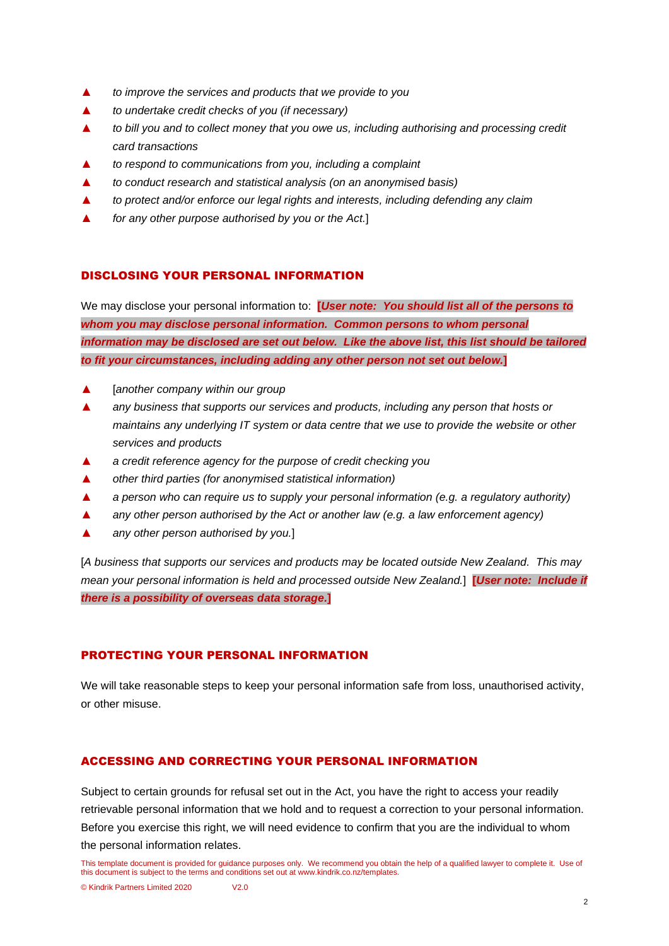- ▲ *to improve the services and products that we provide to you*
- ▲ *to undertake credit checks of you (if necessary)*
- to bill you and to collect money that you owe us, including authorising and processing credit *card transactions*
- to respond to communications from you, including a complaint
- ▲ *to conduct research and statistical analysis (on an anonymised basis)*
- ▲ *to protect and/or enforce our legal rights and interests, including defending any claim*
- ▲ *for any other purpose authorised by you or the Act.*]

## DISCLOSING YOUR PERSONAL INFORMATION

We may disclose your personal information to: **[***User note: You should list all of the persons to whom you may disclose personal information. Common persons to whom personal information may be disclosed are set out below. Like the above list, this list should be tailored to fit your circumstances, including adding any other person not set out below.***]**

- ▲ [*another company within our group*
- any business that supports our services and products, including any person that hosts or *maintains any underlying IT system or data centre that we use to provide the website or other services and products*
- ▲ *a credit reference agency for the purpose of credit checking you*
- ▲ *other third parties (for anonymised statistical information)*
- ▲ *a person who can require us to supply your personal information (e.g. a regulatory authority)*
- ▲ *any other person authorised by the Act or another law (e.g. a law enforcement agency)*
- ▲ *any other person authorised by you.*]

[*A business that supports our services and products may be located outside New Zealand. This may mean your personal information is held and processed outside New Zealand.*] **[***User note: Include if there is a possibility of overseas data storage.***]**

## PROTECTING YOUR PERSONAL INFORMATION

We will take reasonable steps to keep your personal information safe from loss, unauthorised activity, or other misuse.

## ACCESSING AND CORRECTING YOUR PERSONAL INFORMATION

Subject to certain grounds for refusal set out in the Act, you have the right to access your readily retrievable personal information that we hold and to request a correction to your personal information. Before you exercise this right, we will need evidence to confirm that you are the individual to whom the personal information relates.

© Kindrik Partners Limited 2020 V2.0

This template document is provided for guidance purposes only. We recommend you obtain the help of a qualified lawyer to complete it. Use of this document is subject to the terms and conditions set out at www.kindrik.co.nz/templates.